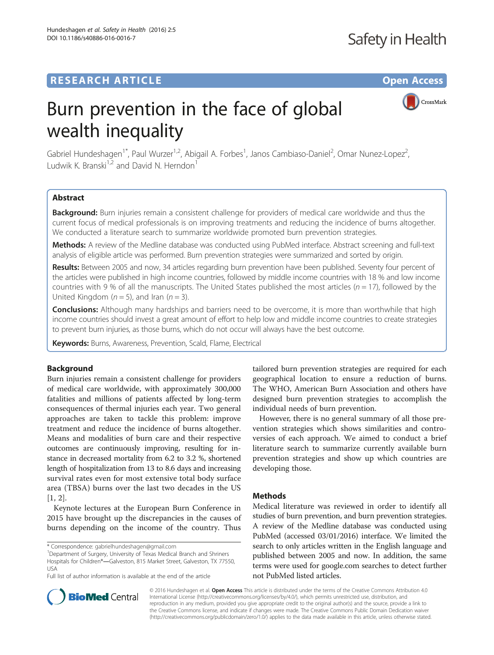CrossMark

# Burn prevention in the face of global wealth inequality

Gabriel Hundeshagen<sup>1\*</sup>, Paul Wurzer<sup>1,2</sup>, Abigail A. Forbes<sup>1</sup>, Janos Cambiaso-Daniel<sup>2</sup>, Omar Nunez-Lopez<sup>2</sup> , Ludwik K. Branski<sup>1,2</sup> and David N. Herndon<sup>1</sup>

# Abstract

Background: Burn injuries remain a consistent challenge for providers of medical care worldwide and thus the current focus of medical professionals is on improving treatments and reducing the incidence of burns altogether. We conducted a literature search to summarize worldwide promoted burn prevention strategies.

Methods: A review of the Medline database was conducted using PubMed interface. Abstract screening and full-text analysis of eligible article was performed. Burn prevention strategies were summarized and sorted by origin.

Results: Between 2005 and now, 34 articles regarding burn prevention have been published. Seventy four percent of the articles were published in high income countries, followed by middle income countries with 18 % and low income countries with 9 % of all the manuscripts. The United States published the most articles ( $n = 17$ ), followed by the United Kingdom ( $n = 5$ ), and Iran ( $n = 3$ ).

**Conclusions:** Although many hardships and barriers need to be overcome, it is more than worthwhile that high income countries should invest a great amount of effort to help low and middle income countries to create strategies to prevent burn injuries, as those burns, which do not occur will always have the best outcome.

Keywords: Burns, Awareness, Prevention, Scald, Flame, Electrical

# Background

Burn injuries remain a consistent challenge for providers of medical care worldwide, with approximately 300,000 fatalities and millions of patients affected by long-term consequences of thermal injuries each year. Two general approaches are taken to tackle this problem: improve treatment and reduce the incidence of burns altogether. Means and modalities of burn care and their respective outcomes are continuously improving, resulting for instance in decreased mortality from 6.2 to 3.2 %, shortened length of hospitalization from 13 to 8.6 days and increasing survival rates even for most extensive total body surface area (TBSA) burns over the last two decades in the US [[1, 2](#page-4-0)].

Keynote lectures at the European Burn Conference in 2015 have brought up the discrepancies in the causes of burns depending on the income of the country. Thus

<sup>1</sup>Department of Surgery, University of Texas Medical Branch and Shriners Hospitals for Children®―Galveston, 815 Market Street, Galveston, TX 77550, USA

Full list of author information is available at the end of the article

tailored burn prevention strategies are required for each geographical location to ensure a reduction of burns. The WHO, American Burn Association and others have designed burn prevention strategies to accomplish the individual needs of burn prevention.

However, there is no general summary of all those prevention strategies which shows similarities and controversies of each approach. We aimed to conduct a brief literature search to summarize currently available burn prevention strategies and show up which countries are developing those.

# **Methods**

Medical literature was reviewed in order to identify all studies of burn prevention, and burn prevention strategies. A review of the Medline database was conducted using PubMed (accessed 03/01/2016) interface. We limited the search to only articles written in the English language and published between 2005 and now. In addition, the same terms were used for google.com searches to detect further not PubMed listed articles.



© 2016 Hundeshagen et al. Open Access This article is distributed under the terms of the Creative Commons Attribution 4.0 International License [\(http://creativecommons.org/licenses/by/4.0/](http://creativecommons.org/licenses/by/4.0/)), which permits unrestricted use, distribution, and reproduction in any medium, provided you give appropriate credit to the original author(s) and the source, provide a link to the Creative Commons license, and indicate if changes were made. The Creative Commons Public Domain Dedication waiver [\(http://creativecommons.org/publicdomain/zero/1.0/](http://creativecommons.org/publicdomain/zero/1.0/)) applies to the data made available in this article, unless otherwise stated.

<sup>\*</sup> Correspondence: [gabrielhundeshagen@gmail.com](mailto:gabrielhundeshagen@gmail.com) <sup>1</sup>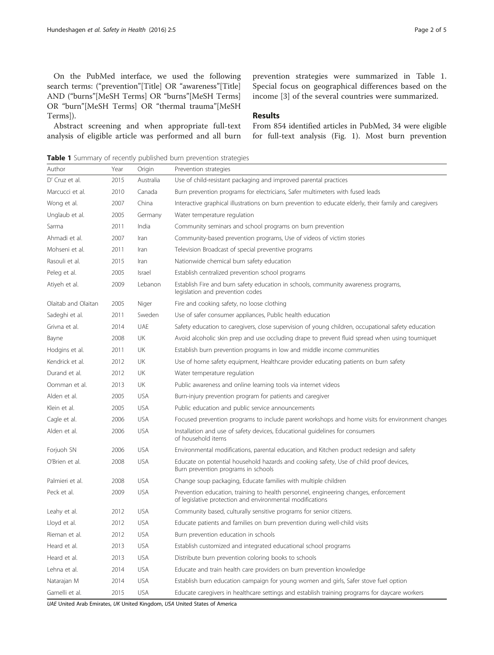<span id="page-1-0"></span>On the PubMed interface, we used the following search terms: ("prevention"[Title] OR "awareness"[Title] AND ("burns"[MeSH Terms] OR "burns"[MeSH Terms] OR "burn"[MeSH Terms] OR "thermal trauma"[MeSH Terms]).

Abstract screening and when appropriate full-text analysis of eligible article was performed and all burn prevention strategies were summarized in Table 1. Special focus on geographical differences based on the income [[3\]](#page-4-0) of the several countries were summarized.

## Results

From 854 identified articles in PubMed, 34 were eligible for full-text analysis (Fig. [1\)](#page-2-0). Most burn prevention

Table 1 Summary of recently published burn prevention strategies

| Author              | Year | Origin     | Prevention strategies                                                                                                                             |
|---------------------|------|------------|---------------------------------------------------------------------------------------------------------------------------------------------------|
| D' Cruz et al.      | 2015 | Australia  | Use of child-resistant packaging and improved parental practices                                                                                  |
| Marcucci et al.     | 2010 | Canada     | Burn prevention programs for electricians, Safer multimeters with fused leads                                                                     |
| Wong et al.         | 2007 | China      | Interactive graphical illustrations on burn prevention to educate elderly, their family and caregivers                                            |
| Unglaub et al.      | 2005 | Germany    | Water temperature regulation                                                                                                                      |
| Sarma               | 2011 | India      | Community seminars and school programs on burn prevention                                                                                         |
| Ahmadi et al.       | 2007 | Iran       | Community-based prevention programs, Use of videos of victim stories                                                                              |
| Mohseni et al.      | 2011 | Iran       | Television Broadcast of special preventive programs                                                                                               |
| Rasouli et al.      | 2015 | Iran       | Nationwide chemical burn safety education                                                                                                         |
| Peleg et al.        | 2005 | Israel     | Establish centralized prevention school programs                                                                                                  |
| Atiyeh et al.       | 2009 | Lebanon    | Establish Fire and burn safety education in schools, community awareness programs,<br>legislation and prevention codes                            |
| Olaitab and Olaitan | 2005 | Niger      | Fire and cooking safety, no loose clothing                                                                                                        |
| Sadeghi et al.      | 2011 | Sweden     | Use of safer consumer appliances, Public health education                                                                                         |
| Grivna et al.       | 2014 | UAE        | Safety education to caregivers, close supervision of young children, occupational safety education                                                |
| Bayne               | 2008 | UK         | Avoid alcoholic skin prep and use occluding drape to prevent fluid spread when using tourniquet                                                   |
| Hodgins et al.      | 2011 | UK         | Establish burn prevention programs in low and middle income communities                                                                           |
| Kendrick et al.     | 2012 | UK         | Use of home safety equipment, Healthcare provider educating patients on burn safety                                                               |
| Durand et al.       | 2012 | UK         | Water temperature regulation                                                                                                                      |
| Oomman et al.       | 2013 | UK         | Public awareness and online learning tools via internet videos                                                                                    |
| Alden et al.        | 2005 | <b>USA</b> | Burn-injury prevention program for patients and caregiver                                                                                         |
| Klein et al.        | 2005 | <b>USA</b> | Public education and public service announcements                                                                                                 |
| Cagle et al.        | 2006 | <b>USA</b> | Focused prevention programs to include parent workshops and home visits for environment changes                                                   |
| Alden et al.        | 2006 | <b>USA</b> | Installation and use of safety devices, Educational guidelines for consumers<br>of household items                                                |
| Forjuoh SN          | 2006 | <b>USA</b> | Environmental modifications, parental education, and Kitchen product redesign and safety                                                          |
| O'Brien et al.      | 2008 | <b>USA</b> | Educate on potential household hazards and cooking safety, Use of child proof devices,<br>Burn prevention programs in schools                     |
| Palmieri et al.     | 2008 | <b>USA</b> | Change soup packaging, Educate families with multiple children                                                                                    |
| Peck et al.         | 2009 | <b>USA</b> | Prevention education, training to health personnel, engineering changes, enforcement<br>of legislative protection and environmental modifications |
| Leahy et al.        | 2012 | <b>USA</b> | Community based, culturally sensitive programs for senior citizens.                                                                               |
| Lloyd et al.        | 2012 | <b>USA</b> | Educate patients and families on burn prevention during well-child visits                                                                         |
| Rieman et al.       | 2012 | <b>USA</b> | Burn prevention education in schools                                                                                                              |
| Heard et al.        | 2013 | <b>USA</b> | Establish customized and integrated educational school programs                                                                                   |
| Heard et al.        | 2013 | <b>USA</b> | Distribute burn prevention coloring books to schools                                                                                              |
| Lehna et al.        | 2014 | <b>USA</b> | Educate and train health care providers on burn prevention knowledge                                                                              |
| Natarajan M         | 2014 | <b>USA</b> | Establish burn education campaign for young women and girls, Safer stove fuel option                                                              |
| Gamelli et al.      | 2015 | <b>USA</b> | Educate caregivers in healthcare settings and establish training programs for daycare workers                                                     |

UAE United Arab Emirates, UK United Kingdom, USA United States of America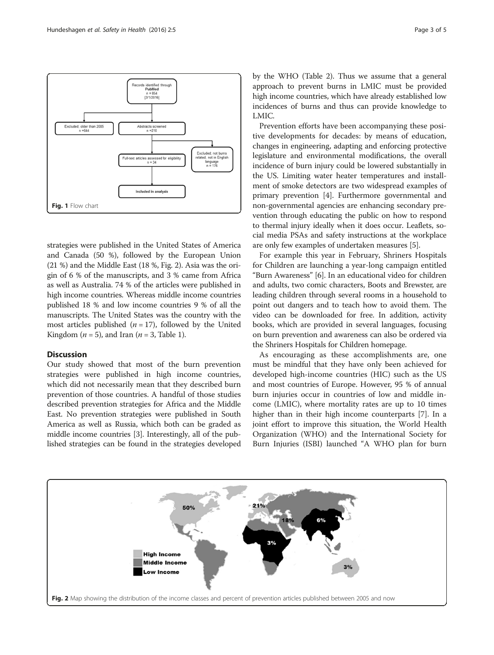<span id="page-2-0"></span>

strategies were published in the United States of America and Canada (50 %), followed by the European Union (21 %) and the Middle East (18 %, Fig. 2). Asia was the origin of 6 % of the manuscripts, and 3 % came from Africa as well as Australia. 74 % of the articles were published in high income countries. Whereas middle income countries published 18 % and low income countries 9 % of all the manuscripts. The United States was the country with the most articles published  $(n = 17)$ , followed by the United Kingdom ( $n = 5$ ), and Iran ( $n = 3$ , Table [1](#page-1-0)).

## Discussion

Our study showed that most of the burn prevention strategies were published in high income countries, which did not necessarily mean that they described burn prevention of those countries. A handful of those studies described prevention strategies for Africa and the Middle East. No prevention strategies were published in South America as well as Russia, which both can be graded as middle income countries [[3\]](#page-4-0). Interestingly, all of the published strategies can be found in the strategies developed

by the WHO (Table [2](#page-3-0)). Thus we assume that a general approach to prevent burns in LMIC must be provided high income countries, which have already established low incidences of burns and thus can provide knowledge to LMIC.

Prevention efforts have been accompanying these positive developments for decades: by means of education, changes in engineering, adapting and enforcing protective legislature and environmental modifications, the overall incidence of burn injury could be lowered substantially in the US. Limiting water heater temperatures and installment of smoke detectors are two widespread examples of primary prevention [[4](#page-4-0)]. Furthermore governmental and non-governmental agencies are enhancing secondary prevention through educating the public on how to respond to thermal injury ideally when it does occur. Leaflets, social media PSAs and safety instructions at the workplace are only few examples of undertaken measures [\[5\]](#page-4-0).

For example this year in February, Shriners Hospitals for Children are launching a year-long campaign entitled "Burn Awareness" [[6\]](#page-4-0). In an educational video for children and adults, two comic characters, Boots and Brewster, are leading children through several rooms in a household to point out dangers and to teach how to avoid them. The video can be downloaded for free. In addition, activity books, which are provided in several languages, focusing on burn prevention and awareness can also be ordered via the Shriners Hospitals for Children homepage.

As encouraging as these accomplishments are, one must be mindful that they have only been achieved for developed high-income countries (HIC) such as the US and most countries of Europe. However, 95 % of annual burn injuries occur in countries of low and middle income (LMIC), where mortality rates are up to 10 times higher than in their high income counterparts [\[7](#page-4-0)]. In a joint effort to improve this situation, the World Health Organization (WHO) and the International Society for Burn Injuries (ISBI) launched "A WHO plan for burn

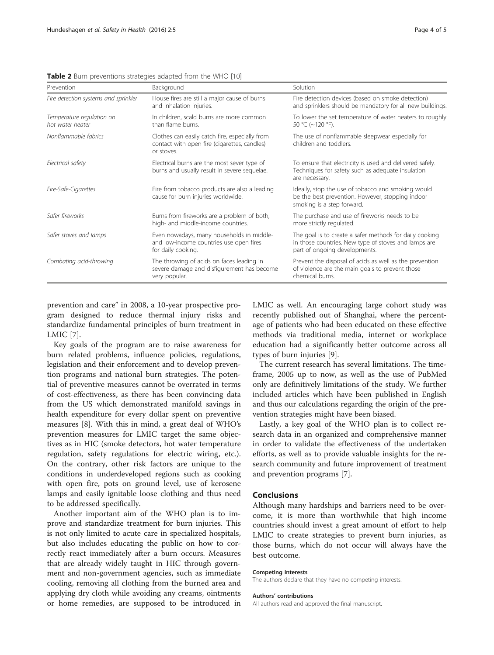| Prevention                                    | Background                                                                                                   | Solution                                                                                                                                         |
|-----------------------------------------------|--------------------------------------------------------------------------------------------------------------|--------------------------------------------------------------------------------------------------------------------------------------------------|
| Fire detection systems and sprinkler          | House fires are still a major cause of burns<br>and inhalation injuries.                                     | Fire detection devices (based on smoke detection)<br>and sprinklers should be mandatory for all new buildings.                                   |
| Temperature regulation on<br>hot water heater | In children, scald burns are more common<br>than flame burns.                                                | To lower the set temperature of water heaters to roughly<br>50 °C (~120 °F).                                                                     |
| Nonflammable fabrics                          | Clothes can easily catch fire, especially from<br>contact with open fire (cigarettes, candles)<br>or stoves. | The use of nonflammable sleepwear especially for<br>children and toddlers.                                                                       |
| Electrical safety                             | Electrical burns are the most sever type of<br>burns and usually result in severe sequelae.                  | To ensure that electricity is used and delivered safely.<br>Techniques for safety such as adequate insulation<br>are necessary.                  |
| Fire-Safe-Cigarettes                          | Fire from tobacco products are also a leading<br>cause for burn injuries worldwide.                          | Ideally, stop the use of tobacco and smoking would<br>be the best prevention. However, stopping indoor<br>smoking is a step forward.             |
| Safer fireworks                               | Burns from fireworks are a problem of both,<br>high- and middle-income countries.                            | The purchase and use of fireworks needs to be<br>more strictly regulated.                                                                        |
| Safer stoves and lamps                        | Even nowadays, many households in middle-<br>and low-income countries use open fires<br>for daily cooking.   | The goal is to create a safer methods for daily cooking<br>in those countries. New type of stoves and lamps are<br>part of ongoing developments. |
| Combating acid-throwing                       | The throwing of acids on faces leading in<br>severe damage and disfigurement has become<br>very popular.     | Prevent the disposal of acids as well as the prevention<br>of violence are the main goals to prevent those<br>chemical burns.                    |

<span id="page-3-0"></span>Table 2 Burn preventions strategies adapted from the WHO [[10](#page-4-0)]

prevention and care" in 2008, a 10-year prospective program designed to reduce thermal injury risks and standardize fundamental principles of burn treatment in LMIC [\[7](#page-4-0)].

Key goals of the program are to raise awareness for burn related problems, influence policies, regulations, legislation and their enforcement and to develop prevention programs and national burn strategies. The potential of preventive measures cannot be overrated in terms of cost-effectiveness, as there has been convincing data from the US which demonstrated manifold savings in health expenditure for every dollar spent on preventive measures [\[8](#page-4-0)]. With this in mind, a great deal of WHO's prevention measures for LMIC target the same objectives as in HIC (smoke detectors, hot water temperature regulation, safety regulations for electric wiring, etc.). On the contrary, other risk factors are unique to the conditions in underdeveloped regions such as cooking with open fire, pots on ground level, use of kerosene lamps and easily ignitable loose clothing and thus need to be addressed specifically.

Another important aim of the WHO plan is to improve and standardize treatment for burn injuries. This is not only limited to acute care in specialized hospitals, but also includes educating the public on how to correctly react immediately after a burn occurs. Measures that are already widely taught in HIC through government and non-government agencies, such as immediate cooling, removing all clothing from the burned area and applying dry cloth while avoiding any creams, ointments or home remedies, are supposed to be introduced in LMIC as well. An encouraging large cohort study was recently published out of Shanghai, where the percentage of patients who had been educated on these effective methods via traditional media, internet or workplace education had a significantly better outcome across all types of burn injuries [[9](#page-4-0)].

The current research has several limitations. The timeframe, 2005 up to now, as well as the use of PubMed only are definitively limitations of the study. We further included articles which have been published in English and thus our calculations regarding the origin of the prevention strategies might have been biased.

Lastly, a key goal of the WHO plan is to collect research data in an organized and comprehensive manner in order to validate the effectiveness of the undertaken efforts, as well as to provide valuable insights for the research community and future improvement of treatment and prevention programs [\[7](#page-4-0)].

#### Conclusions

Although many hardships and barriers need to be overcome, it is more than worthwhile that high income countries should invest a great amount of effort to help LMIC to create strategies to prevent burn injuries, as those burns, which do not occur will always have the best outcome.

### Competing interests

The authors declare that they have no competing interests.

#### Authors' contributions

All authors read and approved the final manuscript.